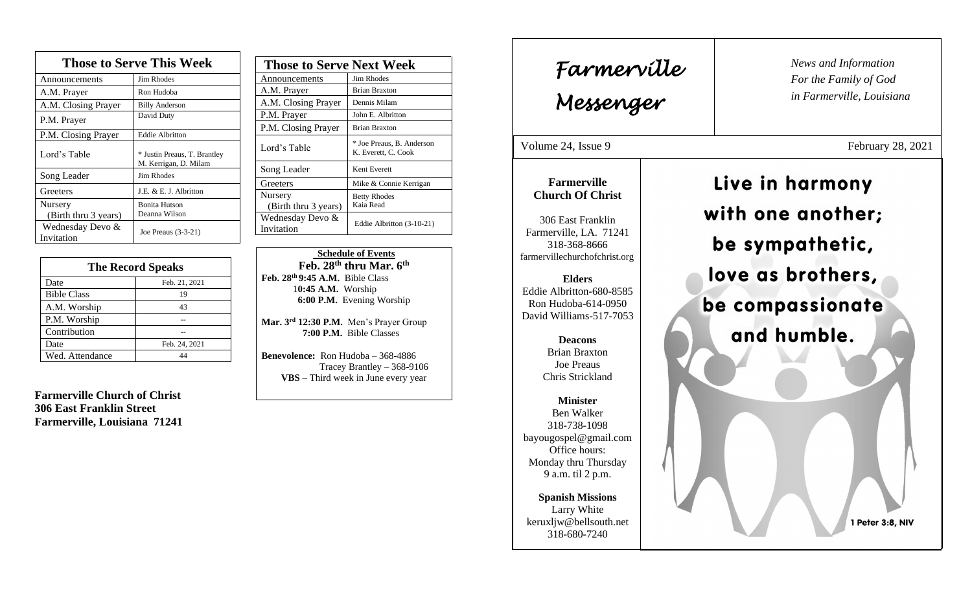| <b>Those to Serve This Week</b> |                                                       |
|---------------------------------|-------------------------------------------------------|
| Announcements                   | <b>Jim Rhodes</b>                                     |
| A.M. Prayer                     | Ron Hudoba                                            |
| A.M. Closing Prayer             | <b>Billy Anderson</b>                                 |
| P.M. Prayer                     | David Duty                                            |
| P.M. Closing Prayer             | <b>Eddie Albritton</b>                                |
| Lord's Table                    | * Justin Preaus, T. Brantley<br>M. Kerrigan, D. Milam |
| Song Leader                     | Jim Rhodes                                            |
| Greeters                        | J.E. & E. J. Albritton                                |
| Nursery                         | <b>Bonita Hutson</b>                                  |
| (Birth thru 3 years)            | Deanna Wilson                                         |
| Wednesday Devo &<br>Invitation  | Joe Preaus (3-3-21)                                   |

| <b>The Record Speaks</b> |               |
|--------------------------|---------------|
| Date                     | Feb. 21, 2021 |
| <b>Bible Class</b>       | 19            |
| A.M. Worship             | 43            |
| P.M. Worship             |               |
| Contribution             |               |
| Date                     | Feb. 24, 2021 |
| Wed. Attendance          |               |

**Farmerville Church of Christ 306 East Franklin Street Farmerville, Louisiana 71241**

| <b>Those to Serve Next Week</b> |                                                  |
|---------------------------------|--------------------------------------------------|
| Announcements                   | Jim Rhodes                                       |
| A.M. Prayer                     | <b>Brian Braxton</b>                             |
| A.M. Closing Prayer             | Dennis Milam                                     |
| P.M. Prayer                     | John E. Albritton                                |
| P.M. Closing Prayer             | <b>Brian Braxton</b>                             |
| Lord's Table                    | * Joe Preaus, B. Anderson<br>K. Everett, C. Cook |
| Song Leader                     | Kent Everett                                     |
| Greeters                        | Mike & Connie Kerrigan                           |
| Nursery                         | <b>Betty Rhodes</b>                              |
| (Birth thru 3 years)            | Kaia Read                                        |
| Wednesday Devo &<br>Invitation  | Eddie Albritton (3-10-21)                        |

 **Schedule of Events Feb. 28th thru Mar. 6th Feb. 28th 9:45 A.M.** Bible Class 1**0:45 A.M.** Worship  **6:00 P.M.** Evening Worship

**Mar. 3rd 12:30 P.M.** Men's Prayer Group **7:00 P.M.** Bible Classes

**Benevolence:** Ron Hudoba – 368-4886 Tracey Brantley – 368-9106 **VBS** – Third week in June every year

*News and Information* **Farmerville**  $\parallel$  News and *For the Family of God in Farmerville, Louisiana Messenger*  Volume 24, Issue 9 February 28, 2021 , 2015 Live in harmony **Farmerville Church Of Christ** with one another; 306 East Franklin Farmerville, LA. 71241 be sympathetic, 318-368-8666 farmervillechurchofchrist.org love as brothers, **Elders** Eddie Albritton-680-8585 be compassionate Ron Hudoba-614-0950 David Williams-517-7053 and humble. **Deacons**  Brian Braxton Joe Preaus Chris Strickland **Minister** Ben Walker 318-738-1098 bayougospel@gmail.com Office hours: Monday thru Thursday 9 a.m. til 2 p.m. **Spanish Missions** Larry White keruxljw@bellsouth.net 1 Peter 3:8, NIV 318-680-7240